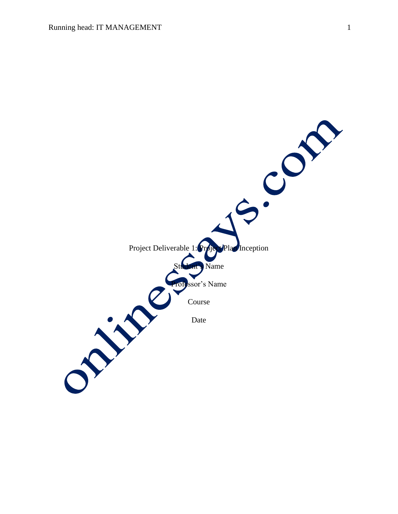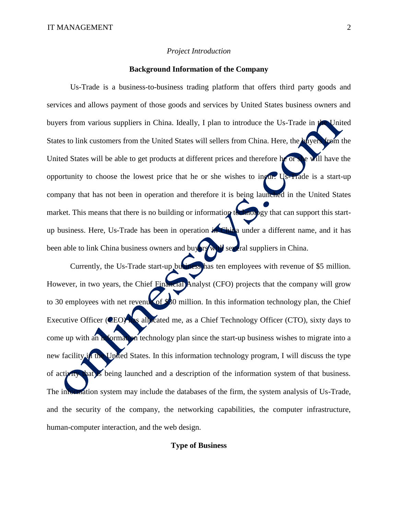#### *Project Introduction*

### **Background Information of the Company**

Us-Trade is a business-to-business trading platform that offers third party goods and services and allows payment of those goods and services by United States business owners and buyers from various suppliers in China. Ideally, I plan to introduce the Us-Trade in the United States to link customers from the United States will sellers from China. Here, the buyers from the United States will be able to get products at different prices and therefore he or she will have the opportunity to choose the lowest price that he or she wishes to incur. Us-Frade is a start-up company that has not been in operation and therefore it is being launched in the United States market. This means that there is no building or information technology that can support this startup business. Here, Us-Trade has been in operation in China under a different name, and it has been able to link China business owners and buyers will see eral suppliers in China.

Currently, the Us-Trade start-up business has ten employees with revenue of \$5 million. However, in two years, the Chief Financial Analyst (CFO) projects that the company will grow to 30 employees with net revenue of \$30 million. In this information technology plan, the Chief Executive Officer (CEO) has allocated me, as a Chief Technology Officer (CTO), sixty days to come up with an information technology plan since the start-up business wishes to migrate into a new facility in the United States. In this information technology program, I will discuss the type of activity that is being launched and a description of the information system of that business. The information system may include the databases of the firm, the system analysis of Us-Trade, and the security of the company, the networking capabilities, the computer infrastructure, human-computer interaction, and the web design.

#### **Type of Business**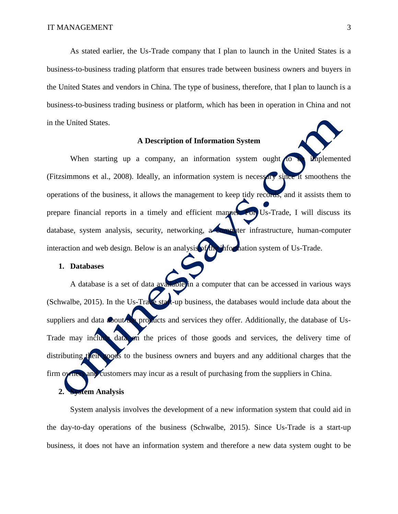As stated earlier, the Us-Trade company that I plan to launch in the United States is a business-to-business trading platform that ensures trade between business owners and buyers in the United States and vendors in China. The type of business, therefore, that I plan to launch is a business-to-business trading business or platform, which has been in operation in China and not in the United States.

### **A Description of Information System**

When starting up a company, an information system ought to be implemented (Fitzsimmons et al., 2008). Ideally, an information system is necessary since it smoothens the operations of the business, it allows the management to keep tidy records, and it assists them to prepare financial reports in a timely and efficient manner. For Us-Trade, I will discuss its database, system analysis, security, networking, a computer infrastructure, human-computer interaction and web design. Below is an analysis of the information system of Us-Trade.

### **1. Databases**

A database is a set of data available in a computer that can be accessed in various ways (Schwalbe, 2015). In the Us-Trade start-up business, the databases would include data about the suppliers and data **about the products** and services they offer. Additionally, the database of Us-Trade may include data on the prices of those goods and services, the delivery time of distributing their goods to the business owners and buyers and any additional charges that the firm owners and customers may incur as a result of purchasing from the suppliers in China.

### **2. System Analysis**

System analysis involves the development of a new information system that could aid in the day-to-day operations of the business (Schwalbe, 2015). Since Us-Trade is a start-up business, it does not have an information system and therefore a new data system ought to be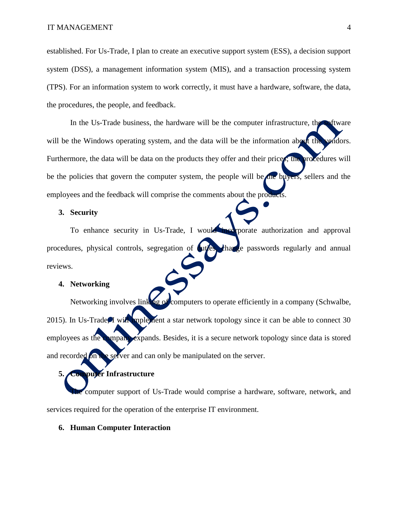established. For Us-Trade, I plan to create an executive support system (ESS), a decision support system (DSS), a management information system (MIS), and a transaction processing system (TPS). For an information system to work correctly, it must have a hardware, software, the data, the procedures, the people, and feedback.

In the Us-Trade business, the hardware will be the computer infrastructure, the software will be the Windows operating system, and the data will be the information about the vendors. Furthermore, the data will be data on the products they offer and their prices; the procedures will be the policies that govern the computer system, the people will be the buyers, sellers and the employees and the feedback will comprise the comments about the products.

### **3. Security**

To enhance security in Us-Trade, I would incorporate authorization and approval procedures, physical controls, segregation of **duties, change** passwords regularly and annual reviews.

### **4. Networking**

Networking involves linking of computers to operate efficiently in a company (Schwalbe, 2015). In Us-Trade, I will implement a star network topology since it can be able to connect 30 employees as the company expands. Besides, it is a secure network topology since data is stored and recorded on the server and can only be manipulated on the server.

# **5. Computer Infrastructure**

computer support of Us-Trade would comprise a hardware, software, network, and services required for the operation of the enterprise IT environment.

### **6. Human Computer Interaction**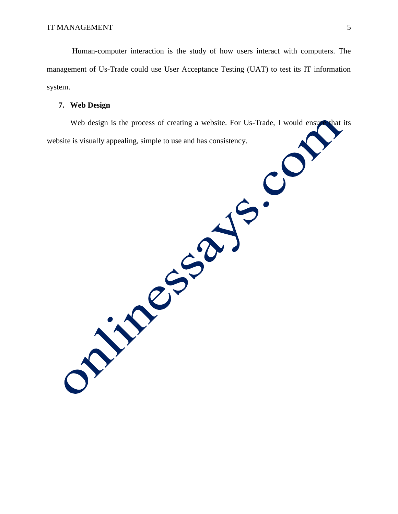Human-computer interaction is the study of how users interact with computers. The management of Us-Trade could use User Acceptance Testing (UAT) to test its IT information system.

### **7. Web Design**

Web design is the process of creating a website. For Us-Trade, I would ensure that its website is visually appealing, simple to use and has consistency.

ONLY CASAJE